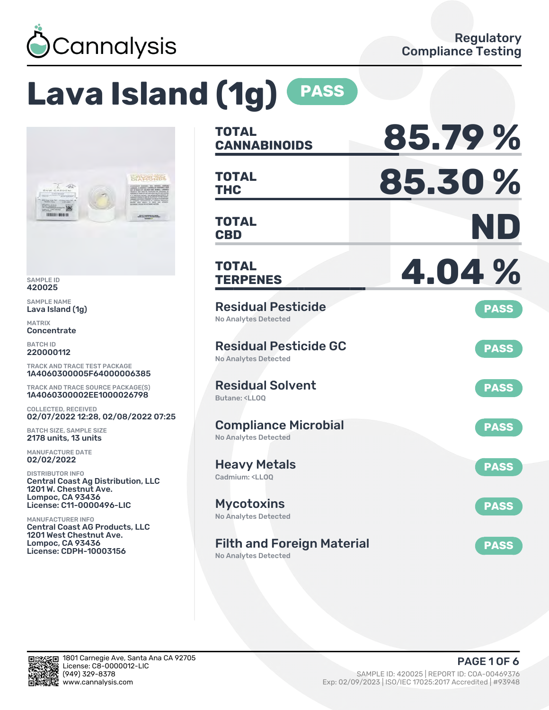

# **Lava Island (1g) PASS**



SAMPLE ID 420025

SAMPLE NAME Lava Island (1g)

MATRIX **Concentrate** 

BATCH ID 220000112

TRACK AND TRACE TEST PACKAGE 1A4060300005F64000006385

TRACK AND TRACE SOURCE PACKAGE(S) 1A4060300002EE1000026798

COLLECTED, RECEIVED 02/07/2022 12:28, 02/08/2022 07:25

BATCH SIZE, SAMPLE SIZE 2178 units, 13 units

MANUFACTURE DATE 02/02/2022

DISTRIBUTOR INFO Central Coast Ag Distribution, LLC 1201 W. Chestnut Ave. Lompoc, CA 93436 License: C11-0000496-LIC

MANUFACTURER INFO Central Coast AG Products, LLC 1201 West Chestnut Ave. Lompoc, CA 93436 License: CDPH-10003156

| TOTAL<br><b>CANNABINOIDS</b>                                                 | 85.79%      |
|------------------------------------------------------------------------------|-------------|
| <b>TOTAL</b><br><b>THC</b>                                                   | 85.30%      |
| <b>TOTAL</b><br><b>CBD</b>                                                   | ND          |
| TOTAL<br><b>TERPENES</b>                                                     | 4.04%       |
| <b>Residual Pesticide</b><br><b>No Analytes Detected</b>                     | <b>PASS</b> |
| <b>Residual Pesticide GC</b><br><b>No Analytes Detected</b>                  | <b>PASS</b> |
| <b>Residual Solvent</b><br>Butane: <ll00< td=""><td><b>PASS</b></td></ll00<> | <b>PASS</b> |
| <b>Compliance Microbial</b><br><b>No Analytes Detected</b>                   | <b>PASS</b> |
| <b>Heavy Metals</b><br>Cadmium: <ll00< td=""><td><b>PASS</b></td></ll00<>    | <b>PASS</b> |
| <b>Mycotoxins</b><br>No Analytes Detected                                    | <b>PASS</b> |
| <b>Filth and Foreign Material</b>                                            | <b>PASS</b> |

No Analytes Detected

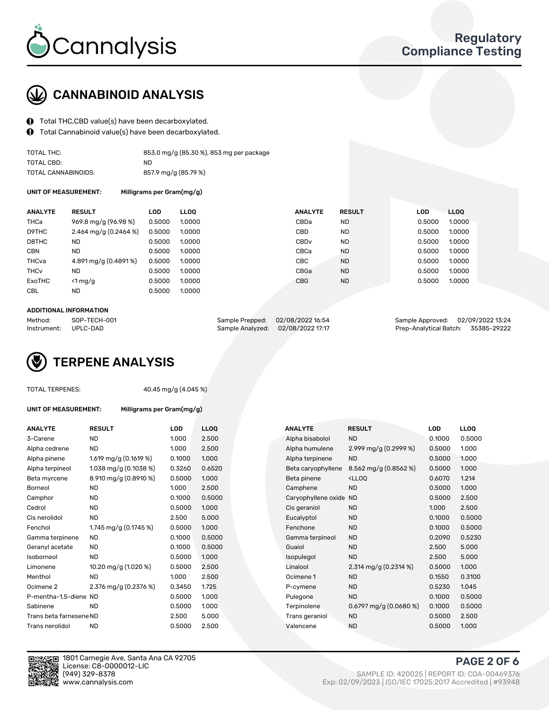

## CANNABINOID ANALYSIS

- Total THC,CBD value(s) have been decarboxylated.
- Total Cannabinoid value(s) have been decarboxylated.  $\bf{0}$

| TOTAL THC:          | 853.0 mg/g (85.30 %), 853 mg per package |
|---------------------|------------------------------------------|
| TOTAL CBD:          | ND.                                      |
| TOTAL CANNABINOIDS: | 857.9 mg/g (85.79 %)                     |

UNIT OF MEASUREMENT: Milligrams per Gram(mg/g)

| <b>ANALYTE</b>         | <b>RESULT</b>         | LOD.   | <b>LLOO</b> |                  | <b>ANALYTE</b> | <b>RESULT</b> | <b>LOD</b> | LL <sub>00</sub> |
|------------------------|-----------------------|--------|-------------|------------------|----------------|---------------|------------|------------------|
| <b>THCa</b>            | 969.8 mg/g (96.98 %)  | 0.5000 | 1.0000      | CBDa             |                | <b>ND</b>     | 0.5000     | 1.0000           |
| D9THC                  | 2.464 mg/g (0.2464 %) | 0.5000 | 1.0000      | CBD              |                | <b>ND</b>     | 0.5000     | 1.0000           |
| D8THC                  | ND                    | 0.5000 | 1.0000      | CBD <sub>v</sub> |                | <b>ND</b>     | 0.5000     | 1.0000           |
| <b>CBN</b>             | <b>ND</b>             | 0.5000 | 1.0000      | CBCa             |                | <b>ND</b>     | 0.5000     | 1.0000           |
| THCva                  | 4.891 mg/g (0.4891%)  | 0.5000 | 1.0000      | CBC              |                | <b>ND</b>     | 0.5000     | 1.0000           |
| <b>THC<sub>v</sub></b> | <b>ND</b>             | 0.5000 | 1.0000      | CBGa             |                | <b>ND</b>     | 0.5000     | 1.0000           |
| <b>ExoTHC</b>          | $<$ 1 mg/g            | 0.5000 | 1.0000      | <b>CBG</b>       |                | <b>ND</b>     | 0.5000     | 1.0000           |
| <b>CBL</b>             | ND                    | 0.5000 | 1.0000      |                  |                |               |            |                  |
|                        |                       |        |             |                  |                |               |            |                  |

#### ADDITIONAL INFORMATION

| Method:              | SOP-TECH-001 | Sample Prepped: 02/08/2022 16:54  | Sample Approved: 02/09/2022 13:24  |  |
|----------------------|--------------|-----------------------------------|------------------------------------|--|
| Instrument: UPLC-DAD |              | Sample Analyzed: 02/08/2022 17:17 | Prep-Analytical Batch: 35385-29222 |  |

## TERPENE ANALYSIS

|  | <b>TOTAL TERPENES:</b> |
|--|------------------------|
|--|------------------------|

40.45 mg/g (4.045 %)

| <b>ANALYTE</b>  | <b>RESULT</b>           | LOD    | LLOO   | <b>ANALYTE</b>         | <b>RESULT</b>                                      | LOD    | <b>LLOO</b> |
|-----------------|-------------------------|--------|--------|------------------------|----------------------------------------------------|--------|-------------|
| 3-Carene        | <b>ND</b>               | 1.000  | 2.500  | Alpha bisabolol        | <b>ND</b>                                          | 0.1000 | 0.50        |
| Alpha cedrene   | <b>ND</b>               | 1.000  | 2.500  | Alpha humulene         | 2.999 mg/g $(0.2999\%)$                            | 0.5000 | 1.000       |
| Alpha pinene    | 1.619 mg/g $(0.1619\%)$ | 0.1000 | 1.000  | Alpha terpinene        | <b>ND</b>                                          | 0.5000 | 1.000       |
| Alpha terpineol | 1.038 mg/g $(0.1038\%)$ | 0.3260 | 0.6520 | Beta caryophyllene     | 8.562 mg/g (0.8562 %)                              | 0.5000 | 1.00C       |
| Beta myrcene    | 8.910 mg/g (0.8910 %)   | 0.5000 | 1.000  | Beta pinene            | <lloq< td=""><td>0.6070</td><td>1.214</td></lloq<> | 0.6070 | 1.214       |
| Borneol         | ND                      | 1.000  | 2.500  | Camphene               | <b>ND</b>                                          | 0.5000 | 1.00C       |
| Camphor         | <b>ND</b>               | 0.1000 | 0.5000 | Caryophyllene oxide ND |                                                    | 0.5000 | 2.500       |
|                 |                         |        |        |                        |                                                    |        |             |

UNIT OF MEASUREMENT: Milligrams per Gram(mg/g)

| <b>ND</b>               | 1.000                                            | 2.500  |  | Alpha bisabolol     | <b>ND</b>                                          | 0.1000 | 0.5000 |
|-------------------------|--------------------------------------------------|--------|--|---------------------|----------------------------------------------------|--------|--------|
| <b>ND</b>               | 1.000                                            | 2.500  |  | Alpha humulene      | 2.999 mg/g (0.2999 %)                              | 0.5000 | 1.000  |
| 1.619 mg/g $(0.1619\%)$ | 0.1000                                           | 1.000  |  | Alpha terpinene     | <b>ND</b>                                          | 0.5000 | 1.000  |
| 1.038 mg/g $(0.1038\%)$ | 0.3260                                           | 0.6520 |  | Beta caryophyllene  | 8.562 mg/g (0.8562 %)                              | 0.5000 | 1.000  |
| 8.910 mg/g (0.8910 %)   | 0.5000                                           | 1.000  |  | Beta pinene         | <lloq< td=""><td>0.6070</td><td>1.214</td></lloq<> | 0.6070 | 1.214  |
| <b>ND</b>               | 1.000                                            | 2.500  |  | Camphene            | <b>ND</b>                                          | 0.5000 | 1.000  |
| <b>ND</b>               | 0.1000                                           | 0.5000 |  | Caryophyllene oxide | <b>ND</b>                                          | 0.5000 | 2.500  |
| <b>ND</b>               | 0.5000                                           | 1.000  |  | Cis geraniol        | <b>ND</b>                                          | 1.000  | 2.500  |
| <b>ND</b>               | 2.500                                            | 5.000  |  | Eucalyptol          | <b>ND</b>                                          | 0.1000 | 0.5000 |
| 1.745 mg/g (0.1745 %)   | 0.5000                                           | 1.000  |  | Fenchone            | <b>ND</b>                                          | 0.1000 | 0.5000 |
| <b>ND</b>               | 0.1000                                           | 0.5000 |  | Gamma terpineol     | <b>ND</b>                                          | 0.2090 | 0.5230 |
| <b>ND</b>               | 0.1000                                           | 0.5000 |  | Guaiol              | <b>ND</b>                                          | 2.500  | 5.000  |
| <b>ND</b>               | 0.5000                                           | 1.000  |  | Isopulegol          | <b>ND</b>                                          | 2.500  | 5.000  |
| 10.20 mg/g (1.020 %)    | 0.5000                                           | 2.500  |  | Linalool            | 2.314 mg/g $(0.2314\%)$                            | 0.5000 | 1.000  |
| <b>ND</b>               | 1.000                                            | 2.500  |  | Ocimene 1           | <b>ND</b>                                          | 0.1550 | 0.3100 |
| 2.376 mg/g (0.2376 %)   | 0.3450                                           | 1.725  |  | P-cymene            | <b>ND</b>                                          | 0.5230 | 1.045  |
|                         | 0.5000                                           | 1.000  |  | Pulegone            | <b>ND</b>                                          | 0.1000 | 0.5000 |
| <b>ND</b>               | 0.5000                                           | 1.000  |  | Terpinolene         | $0.6797$ mg/g $(0.0680%)$                          | 0.1000 | 0.5000 |
|                         | 2.500                                            | 5.000  |  | Trans geraniol      | <b>ND</b>                                          | 0.5000 | 2.500  |
| ND                      | 0.5000                                           | 2.500  |  | Valencene           | <b>ND</b>                                          | 0.5000 | 1.000  |
|                         | P-mentha-1,5-diene ND<br>Trans beta farnesene ND |        |  |                     |                                                    |        |        |



1801 Carnegie Ave, Santa Ana CA 92705 License: C8-0000012-LIC<br>(949) 329-8378

(949) 329-8378 SAMPLE ID: 420025 | REPORT ID: COA-00469376 www.cannalysis.com Exp: 02/09/2023 | ISO/IEC 17025:2017 Accredited | #93948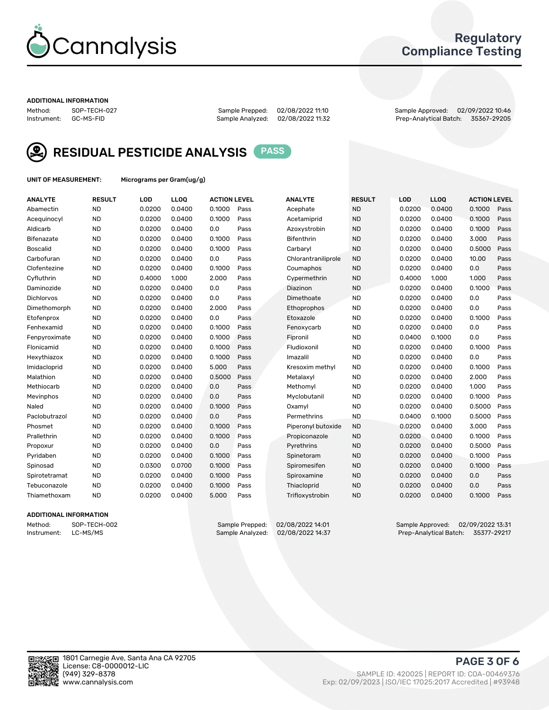

## Regulatory Compliance Testing

#### ADDITIONAL INFORMATION

Method: SOP-TECH-027 Sample Prepped: 02/08/2022 11:10 Sample Approved: 02/09/2022 10:46 Prep-Analytical Batch: 35367-29205



RESIDUAL PESTICIDE ANALYSIS PASS

UNIT OF MEASUREMENT: Micrograms per Gram(ug/g)

| <b>ANALYTE</b>    | <b>RESULT</b> | LOD    | LL <sub>OO</sub> | <b>ACTION LEVEL</b> |      | <b>ANALYTE</b>      | <b>RESULT</b> | <b>LOD</b> | <b>LLOQ</b> | <b>ACTION LEVEL</b> |      |
|-------------------|---------------|--------|------------------|---------------------|------|---------------------|---------------|------------|-------------|---------------------|------|
| Abamectin         | <b>ND</b>     | 0.0200 | 0.0400           | 0.1000              | Pass | Acephate            | <b>ND</b>     | 0.0200     | 0.0400      | 0.1000              | Pass |
| Acequinocyl       | <b>ND</b>     | 0.0200 | 0.0400           | 0.1000              | Pass | Acetamiprid         | <b>ND</b>     | 0.0200     | 0.0400      | 0.1000              | Pass |
| Aldicarb          | <b>ND</b>     | 0.0200 | 0.0400           | 0.0                 | Pass | Azoxystrobin        | <b>ND</b>     | 0.0200     | 0.0400      | 0.1000              | Pass |
| Bifenazate        | <b>ND</b>     | 0.0200 | 0.0400           | 0.1000              | Pass | <b>Bifenthrin</b>   | <b>ND</b>     | 0.0200     | 0.0400      | 3.000               | Pass |
| <b>Boscalid</b>   | <b>ND</b>     | 0.0200 | 0.0400           | 0.1000              | Pass | Carbarvl            | <b>ND</b>     | 0.0200     | 0.0400      | 0.5000              | Pass |
| Carbofuran        | <b>ND</b>     | 0.0200 | 0.0400           | 0.0                 | Pass | Chlorantraniliprole | <b>ND</b>     | 0.0200     | 0.0400      | 10.00               | Pass |
| Clofentezine      | <b>ND</b>     | 0.0200 | 0.0400           | 0.1000              | Pass | Coumaphos           | <b>ND</b>     | 0.0200     | 0.0400      | 0.0                 | Pass |
| Cyfluthrin        | <b>ND</b>     | 0.4000 | 1.000            | 2.000               | Pass | Cypermethrin        | <b>ND</b>     | 0.4000     | 1.000       | 1.000               | Pass |
| Daminozide        | <b>ND</b>     | 0.0200 | 0.0400           | 0.0                 | Pass | Diazinon            | <b>ND</b>     | 0.0200     | 0.0400      | 0.1000              | Pass |
| <b>Dichlorvos</b> | <b>ND</b>     | 0.0200 | 0.0400           | 0.0                 | Pass | Dimethoate          | <b>ND</b>     | 0.0200     | 0.0400      | 0.0                 | Pass |
| Dimethomorph      | <b>ND</b>     | 0.0200 | 0.0400           | 2.000               | Pass | <b>Ethoprophos</b>  | <b>ND</b>     | 0.0200     | 0.0400      | 0.0                 | Pass |
| Etofenprox        | <b>ND</b>     | 0.0200 | 0.0400           | 0.0                 | Pass | Etoxazole           | <b>ND</b>     | 0.0200     | 0.0400      | 0.1000              | Pass |
| Fenhexamid        | <b>ND</b>     | 0.0200 | 0.0400           | 0.1000              | Pass | Fenoxycarb          | <b>ND</b>     | 0.0200     | 0.0400      | 0.0                 | Pass |
| Fenpyroximate     | <b>ND</b>     | 0.0200 | 0.0400           | 0.1000              | Pass | Fipronil            | <b>ND</b>     | 0.0400     | 0.1000      | 0.0                 | Pass |
| Flonicamid        | <b>ND</b>     | 0.0200 | 0.0400           | 0.1000              | Pass | Fludioxonil         | <b>ND</b>     | 0.0200     | 0.0400      | 0.1000              | Pass |
| Hexythiazox       | <b>ND</b>     | 0.0200 | 0.0400           | 0.1000              | Pass | Imazalil            | <b>ND</b>     | 0.0200     | 0.0400      | 0.0                 | Pass |
| Imidacloprid      | <b>ND</b>     | 0.0200 | 0.0400           | 5.000               | Pass | Kresoxim methyl     | <b>ND</b>     | 0.0200     | 0.0400      | 0.1000              | Pass |
| Malathion         | <b>ND</b>     | 0.0200 | 0.0400           | 0.5000              | Pass | Metalaxyl           | <b>ND</b>     | 0.0200     | 0.0400      | 2.000               | Pass |
| Methiocarb        | <b>ND</b>     | 0.0200 | 0.0400           | 0.0                 | Pass | Methomyl            | <b>ND</b>     | 0.0200     | 0.0400      | 1.000               | Pass |
| Mevinphos         | <b>ND</b>     | 0.0200 | 0.0400           | 0.0                 | Pass | Myclobutanil        | <b>ND</b>     | 0.0200     | 0.0400      | 0.1000              | Pass |
| Naled             | <b>ND</b>     | 0.0200 | 0.0400           | 0.1000              | Pass | Oxamyl              | <b>ND</b>     | 0.0200     | 0.0400      | 0.5000              | Pass |
| Paclobutrazol     | <b>ND</b>     | 0.0200 | 0.0400           | 0.0                 | Pass | Permethrins         | <b>ND</b>     | 0.0400     | 0.1000      | 0.5000              | Pass |
| Phosmet           | <b>ND</b>     | 0.0200 | 0.0400           | 0.1000              | Pass | Piperonyl butoxide  | <b>ND</b>     | 0.0200     | 0.0400      | 3.000               | Pass |
| Prallethrin       | <b>ND</b>     | 0.0200 | 0.0400           | 0.1000              | Pass | Propiconazole       | <b>ND</b>     | 0.0200     | 0.0400      | 0.1000              | Pass |
| Propoxur          | <b>ND</b>     | 0.0200 | 0.0400           | 0.0                 | Pass | Pyrethrins          | <b>ND</b>     | 0.0200     | 0.0400      | 0.5000              | Pass |
| Pyridaben         | <b>ND</b>     | 0.0200 | 0.0400           | 0.1000              | Pass | Spinetoram          | <b>ND</b>     | 0.0200     | 0.0400      | 0.1000              | Pass |
| Spinosad          | <b>ND</b>     | 0.0300 | 0.0700           | 0.1000              | Pass | Spiromesifen        | <b>ND</b>     | 0.0200     | 0.0400      | 0.1000              | Pass |
| Spirotetramat     | <b>ND</b>     | 0.0200 | 0.0400           | 0.1000              | Pass | Spiroxamine         | <b>ND</b>     | 0.0200     | 0.0400      | 0.0                 | Pass |
| Tebuconazole      | <b>ND</b>     | 0.0200 | 0.0400           | 0.1000              | Pass | Thiacloprid         | <b>ND</b>     | 0.0200     | 0.0400      | 0.0                 | Pass |
| Thiamethoxam      | <b>ND</b>     | 0.0200 | 0.0400           | 5.000               | Pass | Trifloxystrobin     | <b>ND</b>     | 0.0200     | 0.0400      | 0.1000              | Pass |
|                   |               |        |                  |                     |      |                     |               |            |             |                     |      |

### ADDITIONAL INFORMATION

Method: SOP-TECH-002 Sample Prepped: 02/08/2022 14:01 Sample Approved: 02/09/2022 13:31<br>Instrument: LC-MS/MS Sample Analyzed: 02/08/2022 14:37 Prep-Analytical Batch: 35377-29217 Prep-Analytical Batch: 35377-29217

PAGE 3 OF 6

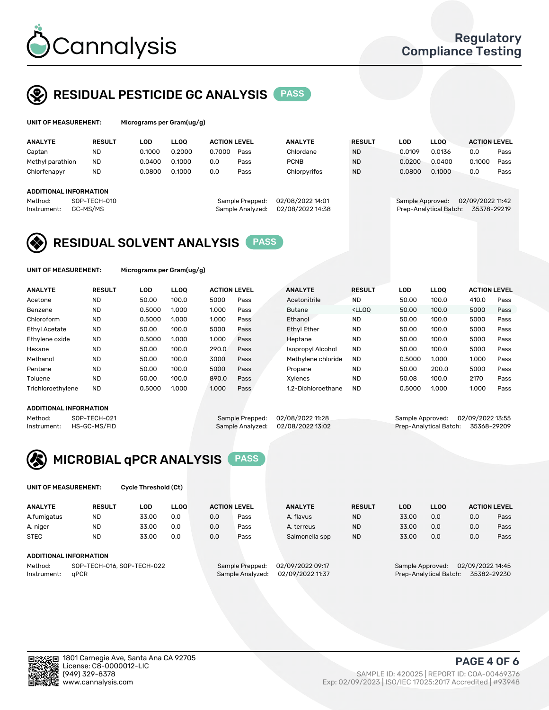

## RESIDUAL PESTICIDE GC ANALYSIS PASS

| UNIT OF MEASUREMENT: |               | Micrograms per Gram(ug/g) |             |                     |      |                |               |        |             |                     |      |  |
|----------------------|---------------|---------------------------|-------------|---------------------|------|----------------|---------------|--------|-------------|---------------------|------|--|
| <b>ANALYTE</b>       | <b>RESULT</b> | LOD                       | <b>LLOO</b> | <b>ACTION LEVEL</b> |      | <b>ANALYTE</b> | <b>RESULT</b> | LOD    | <b>LLOO</b> | <b>ACTION LEVEL</b> |      |  |
| Captan               | <b>ND</b>     | 0.1000                    | 0.2000      | 0.7000              | Pass | Chlordane      | <b>ND</b>     | 0.0109 | 0.0136      | 0.0                 | Pass |  |
| Methyl parathion     | <b>ND</b>     | 0.0400                    | 0.1000      | 0.0                 | Pass | <b>PCNB</b>    | <b>ND</b>     | 0.0200 | 0.0400      | 0.1000              | Pass |  |
| Chlorfenapyr         | <b>ND</b>     | 0.0800                    | 0.1000      | 0.0                 | Pass | Chlorpyrifos   | <b>ND</b>     | 0.0800 | 0.1000      | 0.0                 | Pass |  |

## ADDITIONAL INFORMATION

| - Method:            | SUP-TECH-010 | Sample Prepped: U2/U8/2022 14:01  | Sample Approved: U2/U9/2022 T1:42  |  |
|----------------------|--------------|-----------------------------------|------------------------------------|--|
| Instrument: GC-MS/MS |              | Sample Analyzed: 02/08/2022 14:38 | Prep-Analytical Batch: 35378-29219 |  |
|                      |              |                                   |                                    |  |

Method: SOP-TECH-010 Sample Prepped: 02/08/2022 14:01 Sample Approved: 02/09/2022 11:42



UNIT OF MEASUREMENT: Micrograms per Gram(ug/g)

| <b>ANALYTE</b>       | <b>RESULT</b> | LOD    | <b>LLOO</b> | <b>ACTION LEVEL</b> |      | <b>ANALYTE</b>     | <b>RESULT</b>                                                               | <b>LOD</b> | <b>LLOO</b> | <b>ACTION LEVEL</b> |      |
|----------------------|---------------|--------|-------------|---------------------|------|--------------------|-----------------------------------------------------------------------------|------------|-------------|---------------------|------|
| Acetone              | <b>ND</b>     | 50.00  | 100.0       | 5000                | Pass | Acetonitrile       | <b>ND</b>                                                                   | 50.00      | 100.0       | 410.0               | Pass |
| Benzene              | <b>ND</b>     | 0.5000 | 1.000       | 1.000               | Pass | <b>Butane</b>      | <lloo< td=""><td>50.00</td><td>100.0</td><td>5000</td><td>Pass</td></lloo<> | 50.00      | 100.0       | 5000                | Pass |
| Chloroform           | <b>ND</b>     | 0.5000 | 1.000       | 1.000               | Pass | Ethanol            | <b>ND</b>                                                                   | 50.00      | 100.0       | 5000                | Pass |
| <b>Ethyl Acetate</b> | <b>ND</b>     | 50.00  | 100.0       | 5000                | Pass | <b>Ethyl Ether</b> | <b>ND</b>                                                                   | 50.00      | 100.0       | 5000                | Pass |
| Ethylene oxide       | <b>ND</b>     | 0.5000 | 1.000       | 1.000               | Pass | Heptane            | <b>ND</b>                                                                   | 50.00      | 100.0       | 5000                | Pass |
| Hexane               | <b>ND</b>     | 50.00  | 100.0       | 290.0               | Pass | Isopropyl Alcohol  | <b>ND</b>                                                                   | 50.00      | 100.0       | 5000                | Pass |
| Methanol             | <b>ND</b>     | 50.00  | 100.0       | 3000                | Pass | Methylene chloride | <b>ND</b>                                                                   | 0.5000     | 1.000       | 1.000               | Pass |
| Pentane              | <b>ND</b>     | 50.00  | 100.0       | 5000                | Pass | Propane            | <b>ND</b>                                                                   | 50.00      | 200.0       | 5000                | Pass |
| Toluene              | <b>ND</b>     | 50.00  | 100.0       | 890.0               | Pass | Xvlenes            | <b>ND</b>                                                                   | 50.08      | 100.0       | 2170                | Pass |
| Trichloroethylene    | <b>ND</b>     | 0.5000 | 1.000       | 1.000               | Pass | 1.2-Dichloroethane | <b>ND</b>                                                                   | 0.5000     | 1.000       | 1.000               | Pass |

#### ADDITIONAL INFORMATION

Method: SOP-TECH-021 Sample Prepped: 02/08/2022 11:28 Sample Approved: 02/09/2022 13:55<br>Instrument: HS-GC-MS/FID Sample Analyzed: 02/08/2022 13:02 Prep-Analytical Batch: 35368-29209 Prep-Analytical Batch: 35368-29209



UNIT OF MEASUREMENT: Cycle Threshold (Ct)

| <b>ANALYTE</b>                        | <b>RESULT</b>          | LOD   | <b>LLOO</b> |                 | <b>ACTION LEVEL</b> | <b>ANALYTE</b> | <b>RESULT</b>    | <b>LOD</b> | <b>LLOO</b>      |     | <b>ACTION LEVEL</b> |
|---------------------------------------|------------------------|-------|-------------|-----------------|---------------------|----------------|------------------|------------|------------------|-----|---------------------|
| A.fumigatus                           | ND                     | 33.00 | 0.0         | 0.0             | Pass                | A. flavus      | <b>ND</b>        | 33.00      | 0.0              | 0.0 | Pass                |
| A. niger                              | <b>ND</b>              | 33.00 | 0.0         | 0.0             | Pass                | A. terreus     | <b>ND</b>        | 33.00      | 0.0              | 0.0 | Pass                |
| <b>STEC</b>                           | <b>ND</b>              | 33.00 | 0.0         | 0.0             | Pass                | Salmonella spp | <b>ND</b>        | 33.00      | 0.0              | 0.0 | Pass                |
|                                       | ADDITIONAL INFORMATION |       |             |                 |                     |                |                  |            |                  |     |                     |
| SOP-TECH-016, SOP-TECH-022<br>Method: |                        |       |             | Sample Prepped: | 02/09/2022 09:17    |                | Sample Approved: |            | 02/09/2022 14:45 |     |                     |

Instrument: qPCR Sample Analyzed: 02/09/2022 11:37 Prep-Analytical Batch: 35382-29230

PAGE 4 OF 6

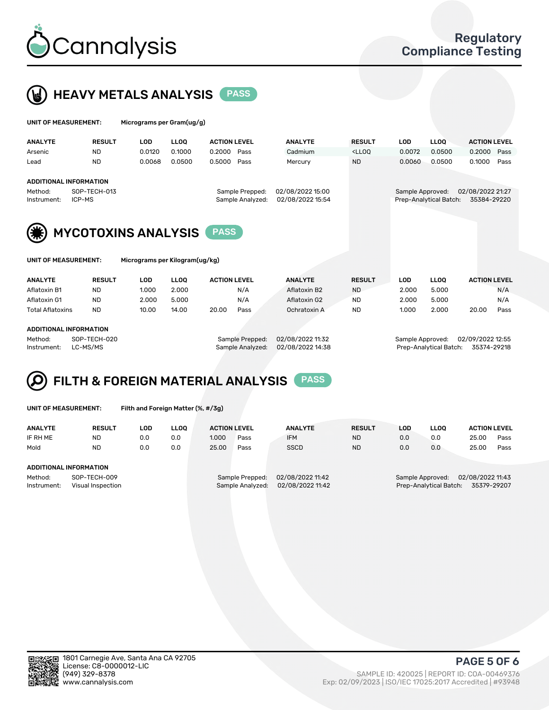



| UNIT OF MEASUREMENT: | Micrograms per Gram(ug/g) |
|----------------------|---------------------------|
|                      |                           |

| <b>ANALYTE</b>         | <b>RESULT</b> | LOD    | <b>LLOO</b> | <b>ACTION LEVEL</b> | <b>ANALYTE</b>   | <b>RESULT</b>                                                                    | LOD              | <b>LLOO</b>            | <b>ACTION LEVEL</b> |      |
|------------------------|---------------|--------|-------------|---------------------|------------------|----------------------------------------------------------------------------------|------------------|------------------------|---------------------|------|
| Arsenic                | ND.           | 0.0120 | 0.1000      | 0.2000 Pass         | Cadmium          | <lloo< td=""><td>0.0072</td><td>0.0500</td><td>0.2000 Pass</td><td></td></lloo<> | 0.0072           | 0.0500                 | 0.2000 Pass         |      |
| Lead                   | <b>ND</b>     | 0.0068 | 0.0500      | 0.5000 Pass         | Mercury          | <b>ND</b>                                                                        | 0.0060           | 0.0500                 | 0.1000              | Pass |
|                        |               |        |             |                     |                  |                                                                                  |                  |                        |                     |      |
| ADDITIONAL INFORMATION |               |        |             |                     |                  |                                                                                  |                  |                        |                     |      |
| Method:                | SOP-TECH-013  |        |             | Sample Prepped:     | 02/08/2022 15:00 |                                                                                  | Sample Approved: |                        | 02/08/2022 21:27    |      |
| Instrument:            | ICP-MS        |        |             | Sample Analyzed:    | 02/08/2022 15:54 |                                                                                  |                  | Prep-Analytical Batch: | 35384-29220         |      |
|                        |               |        |             |                     |                  |                                                                                  |                  |                        |                     |      |



Micrograms per Kilogram(ug/kg)

| <b>ANALYTE</b>          | <b>RESULT</b> | LOD   | LLOO  | <b>ACTION LEVEL</b> |      | <b>ANALYTE</b> |           | <b>RESULT</b> | LOD   | <b>LLOO</b> | <b>ACTION LEVEL</b> |      |
|-------------------------|---------------|-------|-------|---------------------|------|----------------|-----------|---------------|-------|-------------|---------------------|------|
| Aflatoxin B1            | <b>ND</b>     | 1.000 | 2.000 |                     | N/A  | Aflatoxin B2   | <b>ND</b> |               | 2.000 | 5.000       |                     | N/A  |
| Aflatoxin G1            | <b>ND</b>     | 2.000 | 5.000 |                     | N/A  | Aflatoxin G2   | <b>ND</b> |               | 2.000 | 5.000       |                     | N/A  |
| <b>Total Aflatoxins</b> | <b>ND</b>     | 10.00 | 14.00 | 20.00               | Pass | Ochratoxin A   | <b>ND</b> |               | 1.000 | 2.000       | 20.00               | Pass |
|                         |               |       |       |                     |      |                |           |               |       |             |                     |      |
|                         |               |       |       |                     |      |                |           |               |       |             |                     |      |

#### ADDITIONAL INFORMATION

Method: SOP-TECH-020 Sample Prepped: 02/08/2022 11:32 Sample Approved: 02/09/2022 12:55 Instrument: LC-MS/MS Sample Analyzed: 02/08/2022 14:38 Prep-Analytical Batch: 35374-29218

# FILTH & FOREIGN MATERIAL ANALYSIS PASS

UNIT OF MEASUREMENT: Filth and Foreign Matter (%, #/3g)

| <b>RESULT</b>                                               | LOD | LLOO |       |      | <b>ANALYTE</b>                         | <b>RESULT</b>    | LOD | <b>LLOO</b> | <b>ACTION LEVEL</b> |                                            |
|-------------------------------------------------------------|-----|------|-------|------|----------------------------------------|------------------|-----|-------------|---------------------|--------------------------------------------|
| <b>ND</b>                                                   | 0.0 | 0.0  | 1.000 | Pass | <b>IFM</b>                             | <b>ND</b>        | 0.0 | 0.0         | 25.00               | Pass                                       |
| <b>ND</b>                                                   | 0.0 | 0.0  | 25.00 | Pass | <b>SSCD</b>                            | <b>ND</b>        | 0.0 | 0.0         | 25.00               | Pass                                       |
| ADDITIONAL INFORMATION                                      |     |      |       |      |                                        |                  |     |             |                     |                                            |
| Method:<br>SOP-TECH-009<br>Instrument:<br>Visual Inspection |     |      |       |      | 02/08/2022 11:42<br>02/08/2022 11:42   |                  |     |             | 35379-29207         |                                            |
|                                                             |     |      |       |      | <b>ACTION LEVEL</b><br>Sample Prepped: | Sample Analyzed: |     |             | Sample Approved:    | 02/08/2022 11:43<br>Prep-Analytical Batch: |